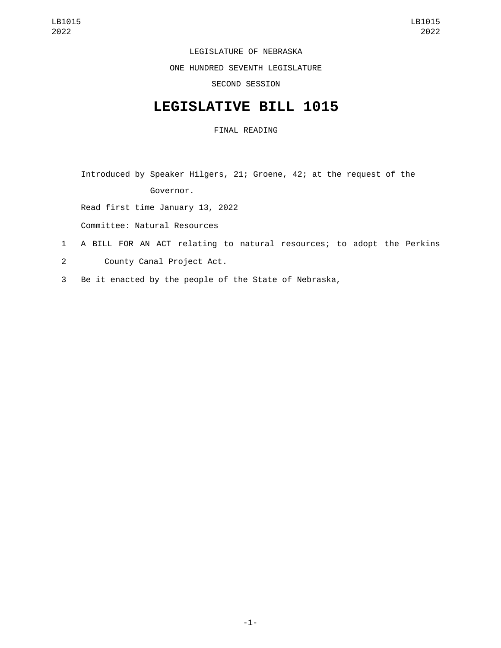LEGISLATURE OF NEBRASKA

ONE HUNDRED SEVENTH LEGISLATURE

SECOND SESSION

## **LEGISLATIVE BILL 1015**

FINAL READING

Introduced by Speaker Hilgers, 21; Groene, 42; at the request of the Governor.

Read first time January 13, 2022

Committee: Natural Resources

- 1 A BILL FOR AN ACT relating to natural resources; to adopt the Perkins
- 2 County Canal Project Act.
- 3 Be it enacted by the people of the State of Nebraska,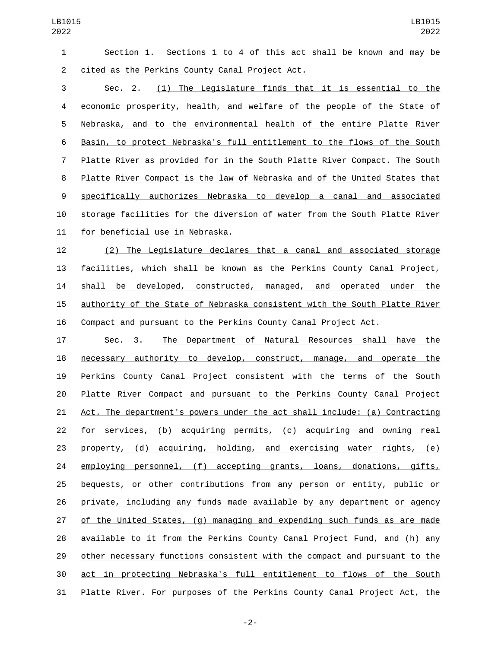| $\mathbf{1}$   | Section 1. Sections 1 to 4 of this act shall be known and may be          |
|----------------|---------------------------------------------------------------------------|
| $\overline{2}$ | cited as the Perkins County Canal Project Act.                            |
| 3              | (1) The Legislature finds that it is essential to the<br>Sec. 2.          |
| 4              | economic prosperity, health, and welfare of the people of the State of    |
| 5              | Nebraska, and to the environmental health of the entire Platte River      |
| 6              | Basin, to protect Nebraska's full entitlement to the flows of the South   |
| $\overline{7}$ | Platte River as provided for in the South Platte River Compact. The South |
| 8              | Platte River Compact is the law of Nebraska and of the United States that |
| 9              | specifically authorizes Nebraska to develop a canal and associated        |
| 10             | storage facilities for the diversion of water from the South Platte River |
| 11             | for beneficial use in Nebraska.                                           |
| 12             | (2) The Legislature declares that a canal and associated storage          |
| 13             | facilities, which shall be known as the Perkins County Canal Project,     |
| 14             | shall be developed, constructed, managed, and operated under the          |
| 15             | authority of the State of Nebraska consistent with the South Platte River |
| 16             | Compact and pursuant to the Perkins County Canal Project Act.             |
| 17             | The Department of Natural Resources shall have the<br>Sec.<br>3.          |
| 18             | necessary authority to develop, construct, manage, and operate the        |
| 19             | Perkins County Canal Project consistent with the terms of the South       |
| 20             | Platte River Compact and pursuant to the Perkins County Canal Project     |
| 21             | Act. The department's powers under the act shall include: (a) Contracting |
| 22             | for services, (b) acquiring permits, (c) acquiring and owning real        |
| 23             | property, (d) acquiring, holding, and exercising water rights, (e)        |
| 24             | employing personnel, (f) accepting grants, loans, donations, gifts,       |
| 25             | bequests, or other contributions from any person or entity, public or     |
| 26             | private, including any funds made available by any department or agency   |
| 27             | of the United States, (g) managing and expending such funds as are made   |
| 28             | available to it from the Perkins County Canal Project Fund, and (h) any   |
| 29             | other necessary functions consistent with the compact and pursuant to the |
| 30             | act in protecting Nebraska's full entitlement to flows of the South       |
| 31             | Platte River. For purposes of the Perkins County Canal Project Act, the   |